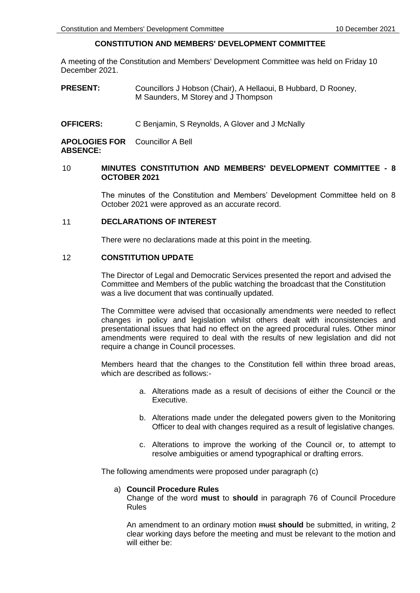# **CONSTITUTION AND MEMBERS' DEVELOPMENT COMMITTEE**

A meeting of the Constitution and Members' Development Committee was held on Friday 10 December 2021.

**PRESENT:** Councillors J Hobson (Chair), A Hellaoui, B Hubbard, D Rooney, M Saunders, M Storey and J Thompson

**OFFICERS:** C Benjamin, S Reynolds, A Glover and J McNally

**APOLOGIES FOR**  Councillor A Bell **ABSENCE:**

# 10 **MINUTES CONSTITUTION AND MEMBERS' DEVELOPMENT COMMITTEE - 8 OCTOBER 2021**

The minutes of the Constitution and Members' Development Committee held on 8 October 2021 were approved as an accurate record.

## 11 **DECLARATIONS OF INTEREST**

There were no declarations made at this point in the meeting.

# 12 **CONSTITUTION UPDATE**

The Director of Legal and Democratic Services presented the report and advised the Committee and Members of the public watching the broadcast that the Constitution was a live document that was continually updated.

The Committee were advised that occasionally amendments were needed to reflect changes in policy and legislation whilst others dealt with inconsistencies and presentational issues that had no effect on the agreed procedural rules. Other minor amendments were required to deal with the results of new legislation and did not require a change in Council processes.

Members heard that the changes to the Constitution fell within three broad areas, which are described as follows:-

- a. Alterations made as a result of decisions of either the Council or the Executive.
- b. Alterations made under the delegated powers given to the Monitoring Officer to deal with changes required as a result of legislative changes.
- c. Alterations to improve the working of the Council or, to attempt to resolve ambiguities or amend typographical or drafting errors.

The following amendments were proposed under paragraph (c)

#### a) **Council Procedure Rules**

Change of the word **must** to **should** in paragraph 76 of Council Procedure Rules

An amendment to an ordinary motion must **should** be submitted, in writing, 2 clear working days before the meeting and must be relevant to the motion and will either be: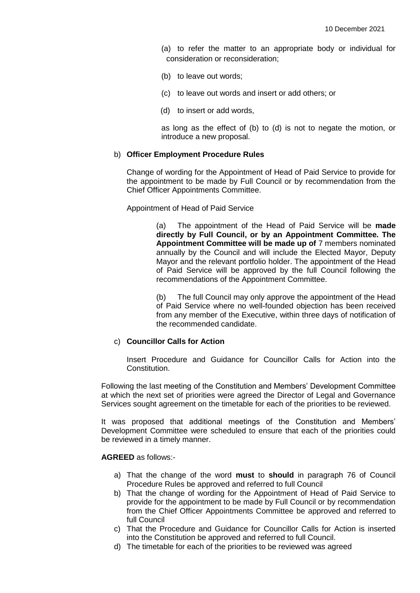- (a) to refer the matter to an appropriate body or individual for consideration or reconsideration;
- (b) to leave out words;
- (c) to leave out words and insert or add others; or
- (d) to insert or add words,

as long as the effect of (b) to (d) is not to negate the motion, or introduce a new proposal.

## b) **Officer Employment Procedure Rules**

Change of wording for the Appointment of Head of Paid Service to provide for the appointment to be made by Full Council or by recommendation from the Chief Officer Appointments Committee.

Appointment of Head of Paid Service

(a) The appointment of the Head of Paid Service will be **made directly by Full Council, or by an Appointment Committee. The Appointment Committee will be made up of** 7 members nominated annually by the Council and will include the Elected Mayor, Deputy Mayor and the relevant portfolio holder. The appointment of the Head of Paid Service will be approved by the full Council following the recommendations of the Appointment Committee.

(b) The full Council may only approve the appointment of the Head of Paid Service where no well-founded objection has been received from any member of the Executive, within three days of notification of the recommended candidate.

# c) **Councillor Calls for Action**

Insert Procedure and Guidance for Councillor Calls for Action into the Constitution.

Following the last meeting of the Constitution and Members' Development Committee at which the next set of priorities were agreed the Director of Legal and Governance Services sought agreement on the timetable for each of the priorities to be reviewed.

It was proposed that additional meetings of the Constitution and Members' Development Committee were scheduled to ensure that each of the priorities could be reviewed in a timely manner.

#### **AGREED** as follows:-

- a) That the change of the word **must** to **should** in paragraph 76 of Council Procedure Rules be approved and referred to full Council
- b) That the change of wording for the Appointment of Head of Paid Service to provide for the appointment to be made by Full Council or by recommendation from the Chief Officer Appointments Committee be approved and referred to full Council
- c) That the Procedure and Guidance for Councillor Calls for Action is inserted into the Constitution be approved and referred to full Council.
- d) The timetable for each of the priorities to be reviewed was agreed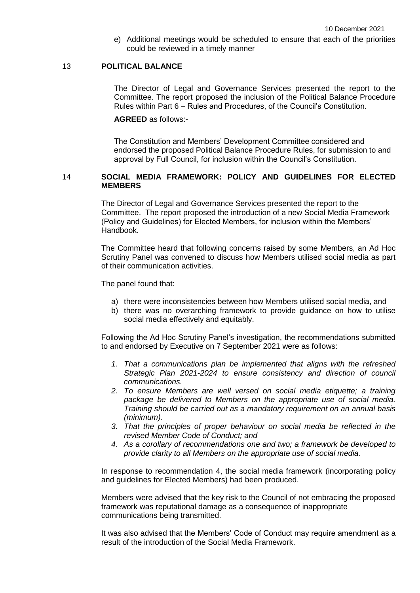e) Additional meetings would be scheduled to ensure that each of the priorities could be reviewed in a timely manner

# 13 **POLITICAL BALANCE**

The Director of Legal and Governance Services presented the report to the Committee. The report proposed the inclusion of the Political Balance Procedure Rules within Part 6 – Rules and Procedures, of the Council's Constitution.

## **AGREED** as follows:-

The Constitution and Members' Development Committee considered and endorsed the proposed Political Balance Procedure Rules, for submission to and approval by Full Council, for inclusion within the Council's Constitution.

# 14 **SOCIAL MEDIA FRAMEWORK: POLICY AND GUIDELINES FOR ELECTED MEMBERS**

The Director of Legal and Governance Services presented the report to the Committee. The report proposed the introduction of a new Social Media Framework (Policy and Guidelines) for Elected Members, for inclusion within the Members' Handbook.

The Committee heard that following concerns raised by some Members, an Ad Hoc Scrutiny Panel was convened to discuss how Members utilised social media as part of their communication activities.

The panel found that:

- a) there were inconsistencies between how Members utilised social media, and
- b) there was no overarching framework to provide guidance on how to utilise social media effectively and equitably.

Following the Ad Hoc Scrutiny Panel's investigation, the recommendations submitted to and endorsed by Executive on 7 September 2021 were as follows:

- *1. That a communications plan be implemented that aligns with the refreshed Strategic Plan 2021-2024 to ensure consistency and direction of council communications.*
- *2. To ensure Members are well versed on social media etiquette; a training package be delivered to Members on the appropriate use of social media. Training should be carried out as a mandatory requirement on an annual basis (minimum).*
- *3. That the principles of proper behaviour on social media be reflected in the revised Member Code of Conduct; and*
- *4. As a corollary of recommendations one and two; a framework be developed to provide clarity to all Members on the appropriate use of social media.*

In response to recommendation 4, the social media framework (incorporating policy and guidelines for Elected Members) had been produced.

Members were advised that the key risk to the Council of not embracing the proposed framework was reputational damage as a consequence of inappropriate communications being transmitted.

It was also advised that the Members' Code of Conduct may require amendment as a result of the introduction of the Social Media Framework.